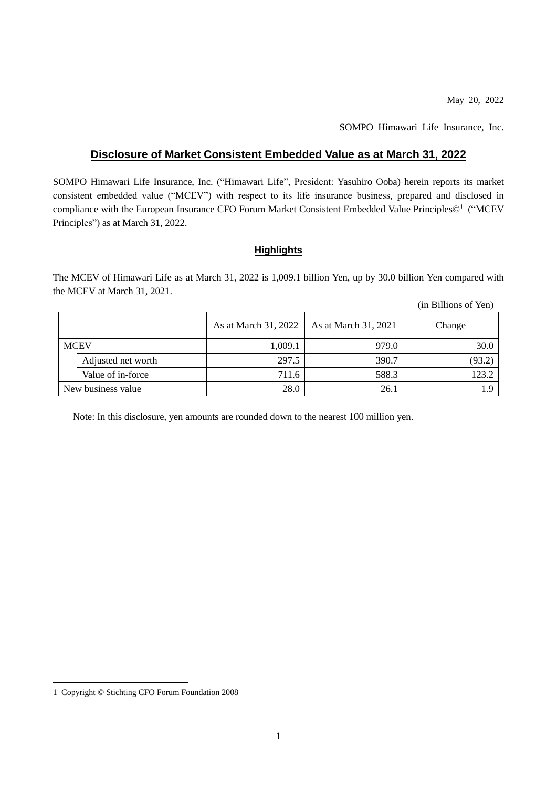(in Billions of Yen)

SOMPO Himawari Life Insurance, Inc.

### **Disclosure of Market Consistent Embedded Value as at March 31, 2022**

SOMPO Himawari Life Insurance, Inc. ("Himawari Life", President: Yasuhiro Ooba) herein reports its market consistent embedded value ("MCEV") with respect to its life insurance business, prepared and disclosed in compliance with the European Insurance CFO Forum Market Consistent Embedded Value Principles©<sup>1</sup> ("MCEV Principles") as at March 31, 2022.

### **Highlights**

The MCEV of Himawari Life as at March 31, 2022 is 1,009.1 billion Yen, up by 30.0 billion Yen compared with the MCEV at March 31, 2021.

|                    |                    |                      |                      | $\mu$ bunons of $\mu$ |
|--------------------|--------------------|----------------------|----------------------|-----------------------|
|                    |                    | As at March 31, 2022 | As at March 31, 2021 | Change                |
| <b>MCEV</b>        |                    | 1,009.1              | 979.0                | 30.0                  |
|                    | Adjusted net worth | 297.5                | 390.7                | (93.2)                |
|                    | Value of in-force  | 711.6                | 588.3                | 123.2                 |
| New business value |                    | 28.0                 | 26.1                 |                       |

Note: In this disclosure, yen amounts are rounded down to the nearest 100 million yen.

-

<sup>1</sup> Copyright © Stichting CFO Forum Foundation 2008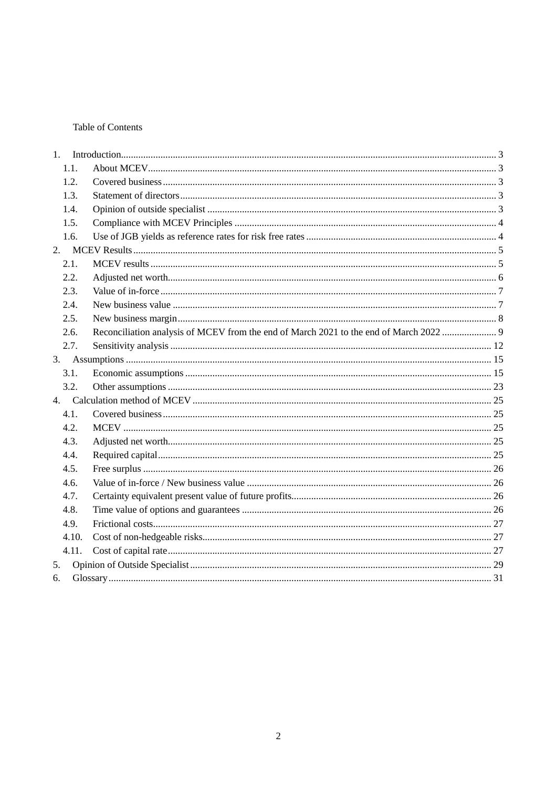### Table of Contents

| 1.   |       |                                                                                     |  |
|------|-------|-------------------------------------------------------------------------------------|--|
|      | 1.1.  |                                                                                     |  |
|      | 1.2.  |                                                                                     |  |
|      | 1.3.  |                                                                                     |  |
|      | 1.4.  |                                                                                     |  |
| 1.5. |       |                                                                                     |  |
| 1.6. |       |                                                                                     |  |
| 2.   |       |                                                                                     |  |
|      | 2.1.  |                                                                                     |  |
|      | 2.2.  |                                                                                     |  |
|      | 2.3.  |                                                                                     |  |
|      | 2.4.  |                                                                                     |  |
|      | 2.5.  |                                                                                     |  |
|      | 2.6.  | Reconciliation analysis of MCEV from the end of March 2021 to the end of March 2022 |  |
|      | 2.7.  |                                                                                     |  |
|      |       |                                                                                     |  |
|      | 3.1.  |                                                                                     |  |
| 3.2. |       |                                                                                     |  |
|      |       |                                                                                     |  |
|      | 4.1.  |                                                                                     |  |
| 4.2. |       |                                                                                     |  |
|      | 4.3.  |                                                                                     |  |
| 4.4. |       |                                                                                     |  |
| 4.5. |       |                                                                                     |  |
| 4.6. |       |                                                                                     |  |
| 4.7. |       |                                                                                     |  |
| 4.8. |       |                                                                                     |  |
|      | 4.9.  |                                                                                     |  |
|      | 4.10. |                                                                                     |  |
|      | 4.11. |                                                                                     |  |
| 5.   |       |                                                                                     |  |
| 6.   |       |                                                                                     |  |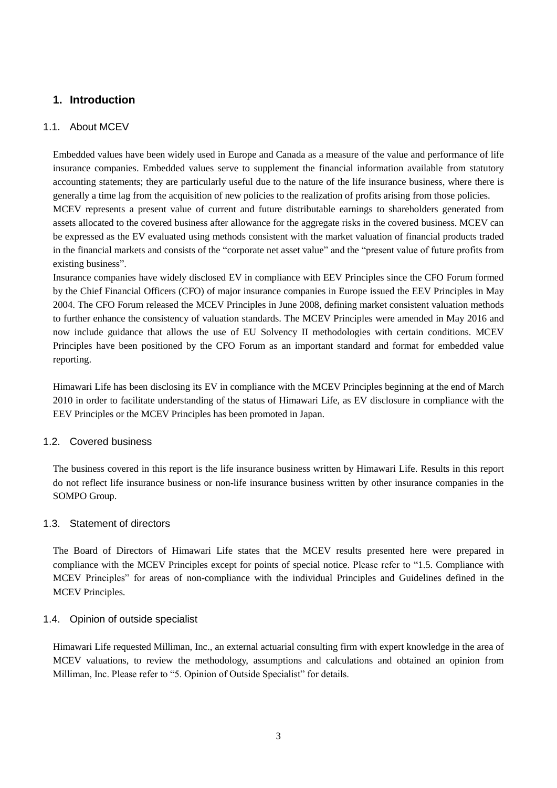## <span id="page-2-0"></span>**1. Introduction**

### <span id="page-2-1"></span>1.1. About MCEV

Embedded values have been widely used in Europe and Canada as a measure of the value and performance of life insurance companies. Embedded values serve to supplement the financial information available from statutory accounting statements; they are particularly useful due to the nature of the life insurance business, where there is generally a time lag from the acquisition of new policies to the realization of profits arising from those policies. MCEV represents a present value of current and future distributable earnings to shareholders generated from assets allocated to the covered business after allowance for the aggregate risks in the covered business. MCEV can be expressed as the EV evaluated using methods consistent with the market valuation of financial products traded in the financial markets and consists of the "corporate net asset value" and the "present value of future profits from existing business".

Insurance companies have widely disclosed EV in compliance with EEV Principles since the CFO Forum formed by the Chief Financial Officers (CFO) of major insurance companies in Europe issued the EEV Principles in May 2004. The CFO Forum released the MCEV Principles in June 2008, defining market consistent valuation methods to further enhance the consistency of valuation standards. The MCEV Principles were amended in May 2016 and now include guidance that allows the use of EU Solvency II methodologies with certain conditions. MCEV Principles have been positioned by the CFO Forum as an important standard and format for embedded value reporting.

Himawari Life has been disclosing its EV in compliance with the MCEV Principles beginning at the end of March 2010 in order to facilitate understanding of the status of Himawari Life, as EV disclosure in compliance with the EEV Principles or the MCEV Principles has been promoted in Japan.

### <span id="page-2-2"></span>1.2. Covered business

The business covered in this report is the life insurance business written by Himawari Life. Results in this report do not reflect life insurance business or non-life insurance business written by other insurance companies in the SOMPO Group.

### <span id="page-2-3"></span>1.3. Statement of directors

The Board of Directors of Himawari Life states that the MCEV results presented here were prepared in compliance with the MCEV Principles except for points of special notice. Please refer to ["1.5.](#page-2-5) Compliance with MCEV Principles" for areas of non-compliance with the individual Principles and Guidelines defined in the MCEV Principles.

### <span id="page-2-4"></span>1.4. Opinion of outside specialist

<span id="page-2-5"></span>Himawari Life requested Milliman, Inc., an external actuarial consulting firm with expert knowledge in the area of MCEV valuations, to review the methodology, assumptions and calculations and obtained an opinion from Milliman, Inc. Please refer to "5. Opinion of Outside Specialist" for details.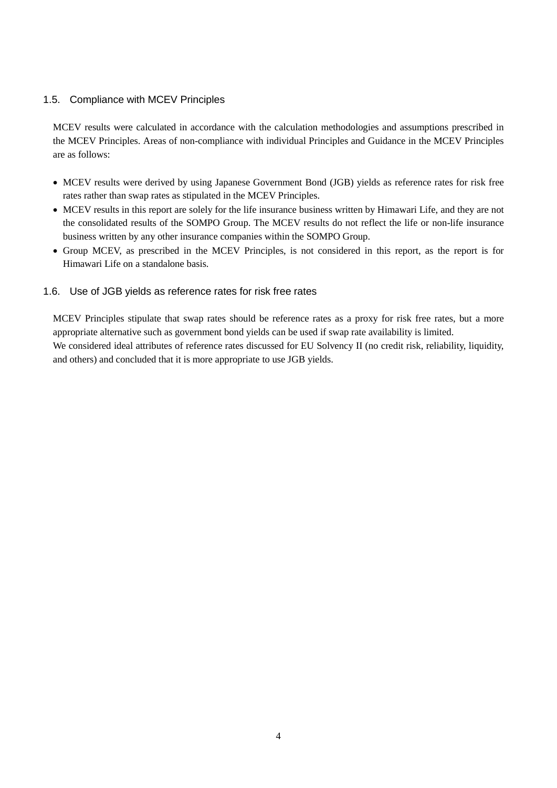### <span id="page-3-0"></span>1.5. Compliance with MCEV Principles

MCEV results were calculated in accordance with the calculation methodologies and assumptions prescribed in the MCEV Principles. Areas of non-compliance with individual Principles and Guidance in the MCEV Principles are as follows:

- MCEV results were derived by using Japanese Government Bond (JGB) yields as reference rates for risk free rates rather than swap rates as stipulated in the MCEV Principles.
- MCEV results in this report are solely for the life insurance business written by Himawari Life, and they are not the consolidated results of the SOMPO Group. The MCEV results do not reflect the life or non-life insurance business written by any other insurance companies within the SOMPO Group.
- Group MCEV, as prescribed in the MCEV Principles, is not considered in this report, as the report is for Himawari Life on a standalone basis.
- <span id="page-3-1"></span>1.6. Use of JGB yields as reference rates for risk free rates

MCEV Principles stipulate that swap rates should be reference rates as a proxy for risk free rates, but a more appropriate alternative such as government bond yields can be used if swap rate availability is limited. We considered ideal attributes of reference rates discussed for EU Solvency II (no credit risk, reliability, liquidity, and others) and concluded that it is more appropriate to use JGB yields.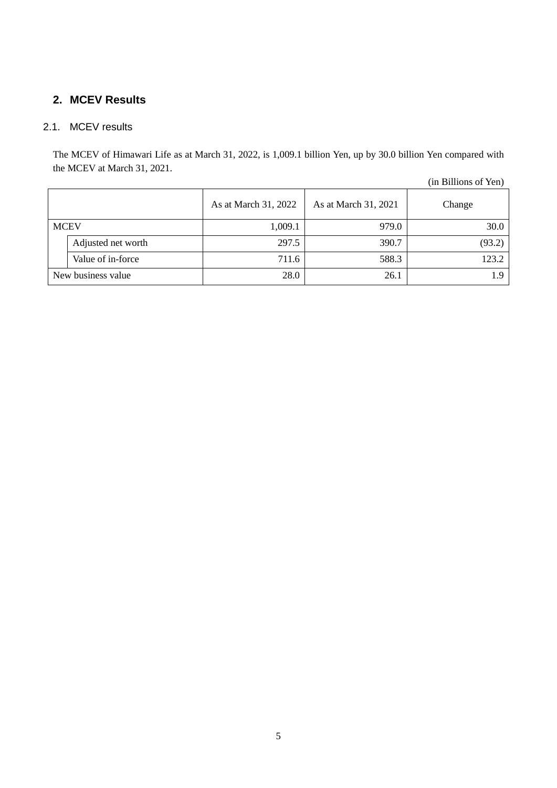# <span id="page-4-0"></span>**2. MCEV Results**

# <span id="page-4-1"></span>2.1. MCEV results

The MCEV of Himawari Life as at March 31, 2022, is 1,009.1 billion Yen, up by 30.0 billion Yen compared with the MCEV at March 31, 2021.

|      |                    |                      |                      | $\cdots$ $\cdots$ $\cdots$ $\cdots$ $\cdots$ $\cdots$ |
|------|--------------------|----------------------|----------------------|-------------------------------------------------------|
|      |                    | As at March 31, 2022 | As at March 31, 2021 | Change                                                |
| MCEV |                    | 1,009.1              | 979.0                | 30.0                                                  |
|      | Adjusted net worth | 297.5                | 390.7                | (93.2)                                                |
|      | Value of in-force  | 711.6                | 588.3                | 123.2                                                 |
|      | New business value | 28.0                 | 26.1                 | 1.9                                                   |

(in Billions of Yen)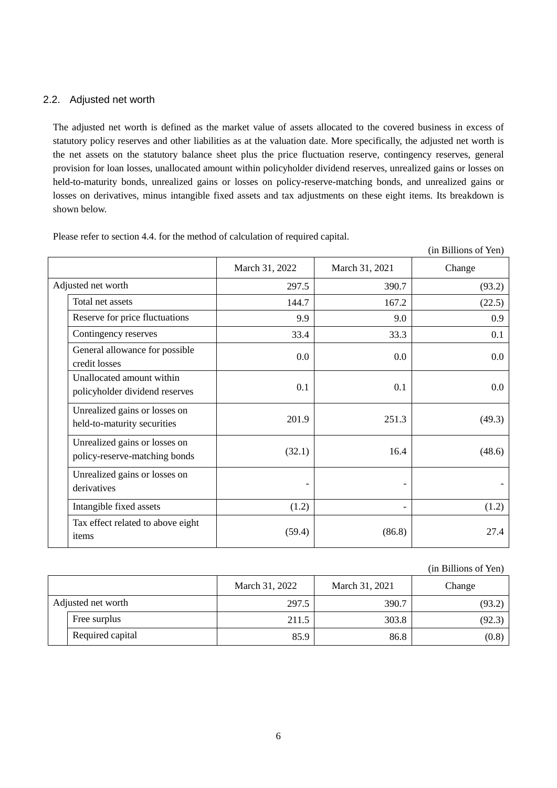### <span id="page-5-0"></span>2.2. Adjusted net worth

The adjusted net worth is defined as the market value of assets allocated to the covered business in excess of statutory policy reserves and other liabilities as at the valuation date. More specifically, the adjusted net worth is the net assets on the statutory balance sheet plus the price fluctuation reserve, contingency reserves, general provision for loan losses, unallocated amount within policyholder dividend reserves, unrealized gains or losses on held-to-maturity bonds, unrealized gains or losses on policy-reserve-matching bonds, and unrealized gains or losses on derivatives, minus intangible fixed assets and tax adjustments on these eight items. Its breakdown is shown below.

|                                                                |                |                | (in Billions of Yen) |
|----------------------------------------------------------------|----------------|----------------|----------------------|
|                                                                | March 31, 2022 | March 31, 2021 | Change               |
| Adjusted net worth                                             | 297.5          | 390.7          | (93.2)               |
| Total net assets                                               | 144.7          | 167.2          | (22.5)               |
| Reserve for price fluctuations                                 | 9.9            | 9.0            | 0.9                  |
| Contingency reserves                                           | 33.4           | 33.3           | 0.1                  |
| General allowance for possible<br>credit losses                | 0.0            | 0.0            | $0.0\,$              |
| Unallocated amount within<br>policyholder dividend reserves    | 0.1            | 0.1            | $0.0\,$              |
| Unrealized gains or losses on<br>held-to-maturity securities   | 201.9          | 251.3          | (49.3)               |
| Unrealized gains or losses on<br>policy-reserve-matching bonds | (32.1)         | 16.4           | (48.6)               |
| Unrealized gains or losses on<br>derivatives                   |                |                |                      |
| Intangible fixed assets                                        | (1.2)          |                | (1.2)                |
| Tax effect related to above eight<br>items                     | (59.4)         | (86.8)         | 27.4                 |

Please refer to section 4.4. for the method of calculation of required capital.

#### (in Billions of Yen)

|  |                    | March 31, 2022 | March 31, 2021 | Change |  |
|--|--------------------|----------------|----------------|--------|--|
|  | Adjusted net worth | 297.5          | 390.7          | (93.2) |  |
|  | Free surplus       | 211.5          | 303.8          | (92.3) |  |
|  | Required capital   | 85.9           | 86.8           | (0.8)  |  |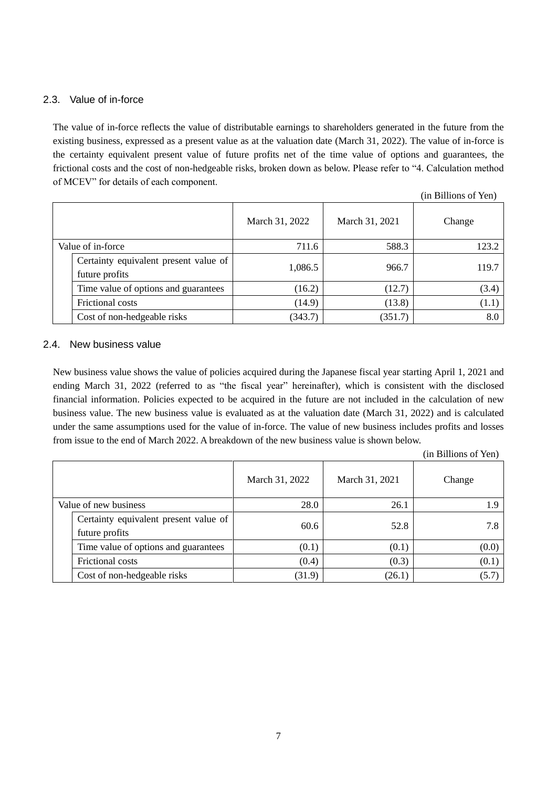### <span id="page-6-0"></span>2.3. Value of in-force

The value of in-force reflects the value of distributable earnings to shareholders generated in the future from the existing business, expressed as a present value as at the valuation date (March 31, 2022). The value of in-force is the certainty equivalent present value of future profits net of the time value of options and guarantees, the frictional costs and the cost of non-hedgeable risks, broken down as below. Please refer to "4. Calculation method of MCEV" for details of each component.

|                                       |                |                | (in Billions of Yen) |
|---------------------------------------|----------------|----------------|----------------------|
|                                       | March 31, 2022 | March 31, 2021 | Change               |
| Value of in-force                     | 711.6          | 588.3          | 123.2                |
| Certainty equivalent present value of | 1,086.5        | 966.7          | 119.7                |
| future profits                        |                |                |                      |
| Time value of options and guarantees  | (16.2)         | (12.7)         | (3.4)                |
| Frictional costs                      | (14.9)         | (13.8)         | (1.1)                |
| Cost of non-hedgeable risks           | (343.7)        | (351.7)        | 8.0                  |

### <span id="page-6-1"></span>2.4. New business value

New business value shows the value of policies acquired during the Japanese fiscal year starting April 1, 2021 and ending March 31, 2022 (referred to as "the fiscal year" hereinafter), which is consistent with the disclosed financial information. Policies expected to be acquired in the future are not included in the calculation of new business value. The new business value is evaluated as at the valuation date (March 31, 2022) and is calculated under the same assumptions used for the value of in-force. The value of new business includes profits and losses from issue to the end of March 2022. A breakdown of the new business value is shown below.

|                                                         |                |                | (in Billions of Yen) |
|---------------------------------------------------------|----------------|----------------|----------------------|
|                                                         | March 31, 2022 | March 31, 2021 | Change               |
| Value of new business                                   | 28.0           | 26.1           | 1.9                  |
| Certainty equivalent present value of<br>future profits | 60.6           | 52.8           | 7.8                  |
| Time value of options and guarantees                    | (0.1)          | (0.1)          | (0.0)                |
| Frictional costs                                        | (0.4)          | (0.3)          | (0.1)                |
| Cost of non-hedgeable risks                             | (31.9)         | (26.1)         | (5.7)                |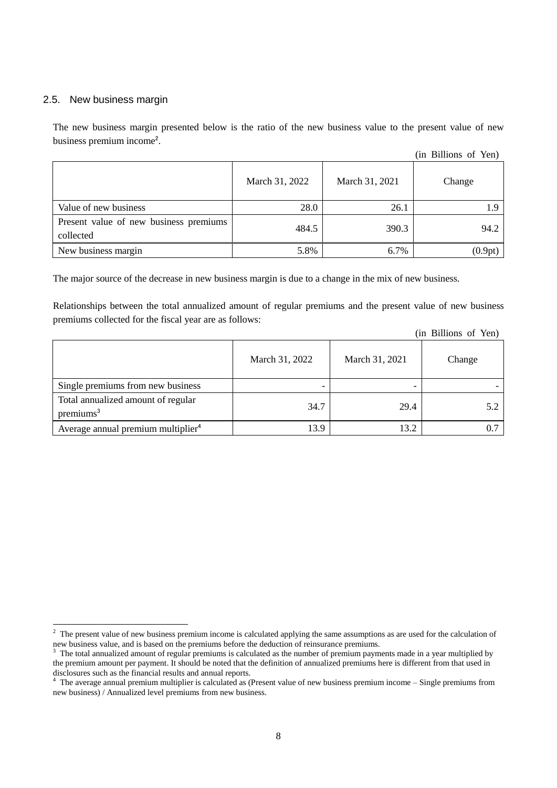### <span id="page-7-0"></span>2.5. New business margin

-

The new business margin presented below is the ratio of the new business value to the present value of new business premium income<sup>2</sup>.

|                                                     |                |                | (in Billions of Yen) |
|-----------------------------------------------------|----------------|----------------|----------------------|
|                                                     | March 31, 2022 | March 31, 2021 | Change               |
| Value of new business                               | 28.0           | 26.1           |                      |
| Present value of new business premiums<br>collected | 484.5          | 390.3          | 94.2                 |
| New business margin                                 | 5.8%           | 6.7%           | (0.9pt)              |

The major source of the decrease in new business margin is due to a change in the mix of new business.

Relationships between the total annualized amount of regular premiums and the present value of new business premiums collected for the fiscal year are as follows:

|  |  | (in Billions of Yen) |  |  |
|--|--|----------------------|--|--|
|--|--|----------------------|--|--|

|                                                             |                |                | $\cdots$ $\cdots$ |
|-------------------------------------------------------------|----------------|----------------|-------------------|
|                                                             | March 31, 2022 | March 31, 2021 | Change            |
| Single premiums from new business                           |                |                |                   |
| Total annualized amount of regular<br>premiums <sup>3</sup> | 34.7           | 29.4           | 5.2               |
| Average annual premium multiplier <sup>4</sup>              | 13.9           | 13.2           |                   |

 $2<sup>2</sup>$  The present value of new business premium income is calculated applying the same assumptions as are used for the calculation of new business value, and is based on the premiums before the deduction of reinsurance premiums.

<sup>3</sup> The total annualized amount of regular premiums is calculated as the number of premium payments made in a year multiplied by the premium amount per payment. It should be noted that the definition of annualized premiums here is different from that used in disclosures such as the financial results and annual reports.

<sup>&</sup>lt;sup>4</sup> The average annual premium multiplier is calculated as (Present value of new business premium income – Single premiums from new business) / Annualized level premiums from new business.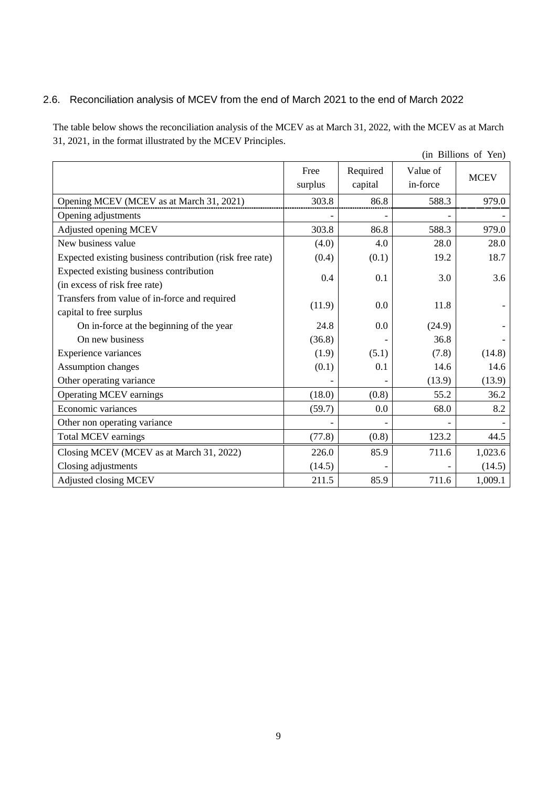# <span id="page-8-0"></span>2.6. Reconciliation analysis of MCEV from the end of March 2021 to the end of March 2022

The table below shows the reconciliation analysis of the MCEV as at March 31, 2022, with the MCEV as at March 31, 2021, in the format illustrated by the MCEV Principles.

|                                                                          |                 |                     |                      | (in Billions of Yen) |
|--------------------------------------------------------------------------|-----------------|---------------------|----------------------|----------------------|
|                                                                          | Free<br>surplus | Required<br>capital | Value of<br>in-force | <b>MCEV</b>          |
| Opening MCEV (MCEV as at March 31, 2021)                                 | 303.8           | 86.8                | 588.3                | 979.0                |
| Opening adjustments                                                      |                 |                     |                      |                      |
| Adjusted opening MCEV                                                    | 303.8           | 86.8                | 588.3                | 979.0                |
| New business value                                                       | (4.0)           | 4.0                 | 28.0                 | 28.0                 |
| Expected existing business contribution (risk free rate)                 | (0.4)           | (0.1)               | 19.2                 | 18.7                 |
| Expected existing business contribution<br>(in excess of risk free rate) | 0.4             | 0.1                 | 3.0                  | 3.6                  |
| Transfers from value of in-force and required<br>capital to free surplus | (11.9)          | 0.0                 | 11.8                 |                      |
| On in-force at the beginning of the year                                 | 24.8            | 0.0                 | (24.9)               |                      |
| On new business                                                          | (36.8)          |                     | 36.8                 |                      |
| Experience variances                                                     | (1.9)           | (5.1)               | (7.8)                | (14.8)               |
| Assumption changes                                                       | (0.1)           | 0.1                 | 14.6                 | 14.6                 |
| Other operating variance                                                 |                 |                     | (13.9)               | (13.9)               |
| <b>Operating MCEV earnings</b>                                           | (18.0)          | (0.8)               | 55.2                 | 36.2                 |
| Economic variances                                                       | (59.7)          | 0.0                 | 68.0                 | 8.2                  |
| Other non operating variance                                             |                 |                     |                      |                      |
| <b>Total MCEV earnings</b>                                               | (77.8)          | (0.8)               | 123.2                | 44.5                 |
| Closing MCEV (MCEV as at March 31, 2022)                                 | 226.0           | 85.9                | 711.6                | 1,023.6              |
| Closing adjustments                                                      | (14.5)          |                     |                      | (14.5)               |
| Adjusted closing MCEV                                                    | 211.5           | 85.9                | 711.6                | 1,009.1              |

9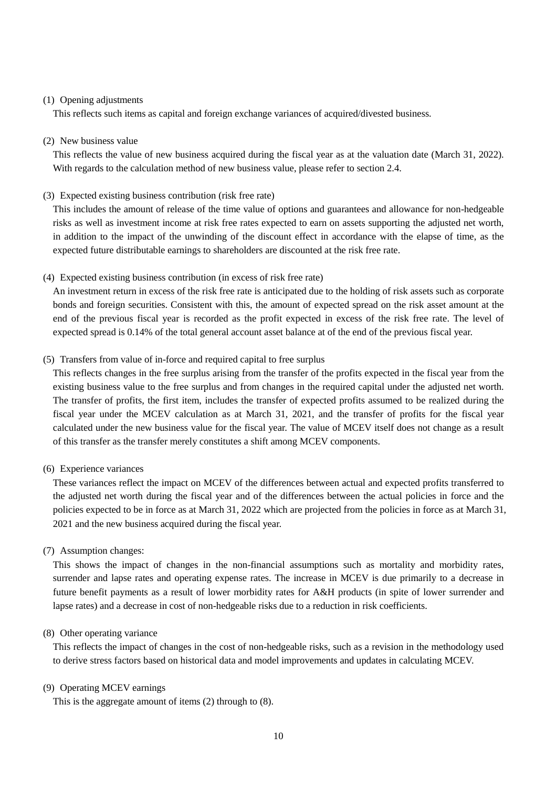#### (1) Opening adjustments

This reflects such items as capital and foreign exchange variances of acquired/divested business.

#### (2) New business value

This reflects the value of new business acquired during the fiscal year as at the valuation date (March 31, 2022). With regards to the calculation method of new business value, please refer to section 2.4.

(3) Expected existing business contribution (risk free rate)

This includes the amount of release of the time value of options and guarantees and allowance for non-hedgeable risks as well as investment income at risk free rates expected to earn on assets supporting the adjusted net worth, in addition to the impact of the unwinding of the discount effect in accordance with the elapse of time, as the expected future distributable earnings to shareholders are discounted at the risk free rate.

### (4) Expected existing business contribution (in excess of risk free rate)

An investment return in excess of the risk free rate is anticipated due to the holding of risk assets such as corporate bonds and foreign securities. Consistent with this, the amount of expected spread on the risk asset amount at the end of the previous fiscal year is recorded as the profit expected in excess of the risk free rate. The level of expected spread is 0.14% of the total general account asset balance at of the end of the previous fiscal year.

### (5) Transfers from value of in-force and required capital to free surplus

This reflects changes in the free surplus arising from the transfer of the profits expected in the fiscal year from the existing business value to the free surplus and from changes in the required capital under the adjusted net worth. The transfer of profits, the first item, includes the transfer of expected profits assumed to be realized during the fiscal year under the MCEV calculation as at March 31, 2021, and the transfer of profits for the fiscal year calculated under the new business value for the fiscal year. The value of MCEV itself does not change as a result of this transfer as the transfer merely constitutes a shift among MCEV components.

#### (6) Experience variances

These variances reflect the impact on MCEV of the differences between actual and expected profits transferred to the adjusted net worth during the fiscal year and of the differences between the actual policies in force and the policies expected to be in force as at March 31, 2022 which are projected from the policies in force as at March 31, 2021 and the new business acquired during the fiscal year.

#### (7) Assumption changes:

This shows the impact of changes in the non-financial assumptions such as mortality and morbidity rates, surrender and lapse rates and operating expense rates. The increase in MCEV is due primarily to a decrease in future benefit payments as a result of lower morbidity rates for A&H products (in spite of lower surrender and lapse rates) and a decrease in cost of non-hedgeable risks due to a reduction in risk coefficients.

#### (8) Other operating variance

This reflects the impact of changes in the cost of non-hedgeable risks, such as a revision in the methodology used to derive stress factors based on historical data and model improvements and updates in calculating MCEV.

#### (9) Operating MCEV earnings

This is the aggregate amount of items (2) through to (8).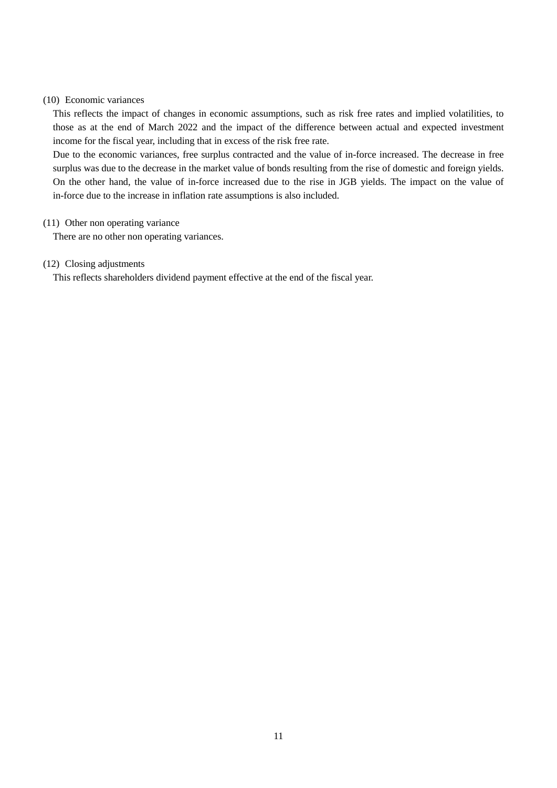### (10) Economic variances

This reflects the impact of changes in economic assumptions, such as risk free rates and implied volatilities, to those as at the end of March 2022 and the impact of the difference between actual and expected investment income for the fiscal year, including that in excess of the risk free rate.

Due to the economic variances, free surplus contracted and the value of in-force increased. The decrease in free surplus was due to the decrease in the market value of bonds resulting from the rise of domestic and foreign yields. On the other hand, the value of in-force increased due to the rise in JGB yields. The impact on the value of in-force due to the increase in inflation rate assumptions is also included.

#### (11) Other non operating variance

There are no other non operating variances.

### (12) Closing adjustments

This reflects shareholders dividend payment effective at the end of the fiscal year.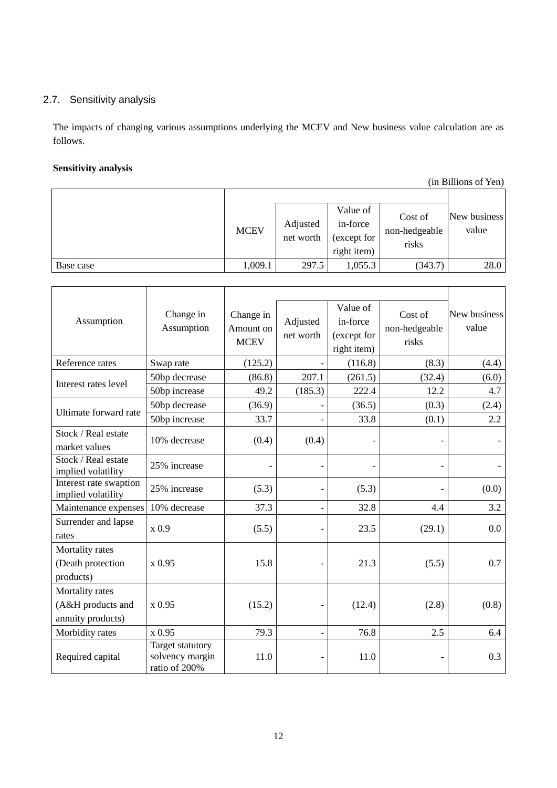# <span id="page-11-0"></span>2.7. Sensitivity analysis

The impacts of changing various assumptions underlying the MCEV and New business value calculation are as follows.

### **Sensitivity analysis**

(in Billions of Yen)

|           | <b>MCEV</b> | Adjusted<br>net worth | Value of<br>in-force<br>(except for<br>right item) | Cost of<br>non-hedgeable<br>risks | New business<br>value |
|-----------|-------------|-----------------------|----------------------------------------------------|-----------------------------------|-----------------------|
| Base case | 1,009.1     | 297.5                 | 1,055.3                                            | (343.7)                           | 28.0                  |

| Assumption                                                | Change in<br>Assumption                              | Change in<br>Amount on<br><b>MCEV</b> | Adjusted<br>net worth    | Value of<br>in-force<br>(except for<br>right item) | Cost of<br>non-hedgeable<br>risks | New business<br>value |
|-----------------------------------------------------------|------------------------------------------------------|---------------------------------------|--------------------------|----------------------------------------------------|-----------------------------------|-----------------------|
| Reference rates                                           | Swap rate                                            | (125.2)                               | $\overline{\phantom{0}}$ | (116.8)                                            | (8.3)                             | (4.4)                 |
| Interest rates level                                      | 50bp decrease                                        | (86.8)                                | 207.1                    | (261.5)                                            | (32.4)                            | (6.0)                 |
|                                                           | 50bp increase                                        | 49.2                                  | (185.3)                  | 222.4                                              | 12.2                              | 4.7                   |
| Ultimate forward rate                                     | 50bp decrease                                        | (36.9)                                | $\overline{a}$           | (36.5)                                             | (0.3)                             | (2.4)                 |
|                                                           | 50bp increase                                        | 33.7                                  | $\overline{\phantom{0}}$ | 33.8                                               | (0.1)                             | 2.2                   |
| Stock / Real estate<br>market values                      | 10% decrease                                         | (0.4)                                 | (0.4)                    |                                                    | $\qquad \qquad \blacksquare$      |                       |
| Stock / Real estate<br>implied volatility                 | 25% increase                                         |                                       | $\overline{a}$           |                                                    |                                   |                       |
| Interest rate swaption<br>implied volatility              | 25% increase                                         | (5.3)                                 | $\overline{a}$           | (5.3)                                              |                                   | (0.0)                 |
| Maintenance expenses                                      | 10% decrease                                         | 37.3                                  | $\overline{\phantom{0}}$ | 32.8                                               | 4.4                               | 3.2                   |
| Surrender and lapse<br>rates                              | x0.9                                                 | (5.5)                                 | $\overline{a}$           | 23.5                                               | (29.1)                            | 0.0                   |
| Mortality rates<br>(Death protection<br>products)         | x 0.95                                               | 15.8                                  | $\overline{\phantom{0}}$ | 21.3                                               | (5.5)                             | 0.7                   |
| Mortality rates<br>(A&H products and<br>annuity products) | x 0.95                                               | (15.2)                                | -                        | (12.4)                                             | (2.8)                             | (0.8)                 |
| Morbidity rates                                           | x 0.95                                               | 79.3                                  | $\overline{\phantom{a}}$ | 76.8                                               | 2.5                               | 6.4                   |
| Required capital                                          | Target statutory<br>solvency margin<br>ratio of 200% | 11.0                                  | -                        | 11.0                                               |                                   | 0.3                   |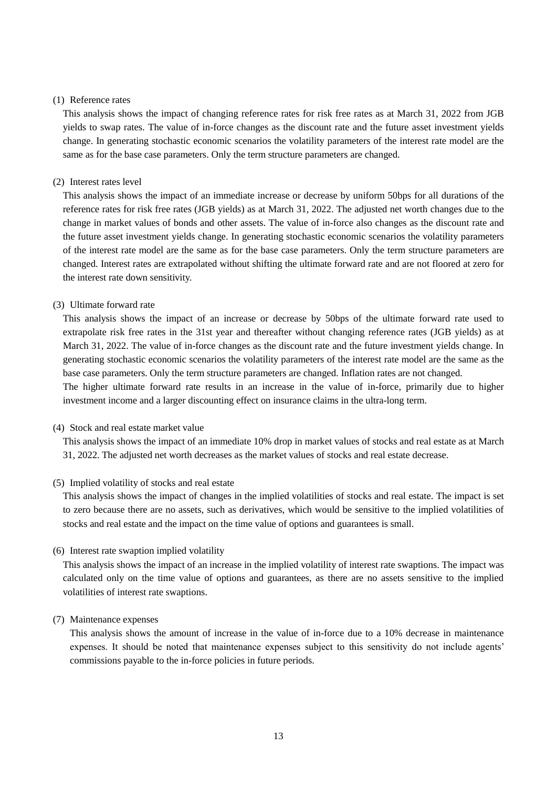#### (1) Reference rates

This analysis shows the impact of changing reference rates for risk free rates as at March 31, 2022 from JGB yields to swap rates. The value of in-force changes as the discount rate and the future asset investment yields change. In generating stochastic economic scenarios the volatility parameters of the interest rate model are the same as for the base case parameters. Only the term structure parameters are changed.

### (2) Interest rates level

This analysis shows the impact of an immediate increase or decrease by uniform 50bps for all durations of the reference rates for risk free rates (JGB yields) as at March 31, 2022. The adjusted net worth changes due to the change in market values of bonds and other assets. The value of in-force also changes as the discount rate and the future asset investment yields change. In generating stochastic economic scenarios the volatility parameters of the interest rate model are the same as for the base case parameters. Only the term structure parameters are changed. Interest rates are extrapolated without shifting the ultimate forward rate and are not floored at zero for the interest rate down sensitivity.

#### (3) Ultimate forward rate

This analysis shows the impact of an increase or decrease by 50bps of the ultimate forward rate used to extrapolate risk free rates in the 31st year and thereafter without changing reference rates (JGB yields) as at March 31, 2022. The value of in-force changes as the discount rate and the future investment yields change. In generating stochastic economic scenarios the volatility parameters of the interest rate model are the same as the base case parameters. Only the term structure parameters are changed. Inflation rates are not changed.

The higher ultimate forward rate results in an increase in the value of in-force, primarily due to higher investment income and a larger discounting effect on insurance claims in the ultra-long term.

#### (4) Stock and real estate market value

This analysis shows the impact of an immediate 10% drop in market values of stocks and real estate as at March 31, 2022. The adjusted net worth decreases as the market values of stocks and real estate decrease.

#### (5) Implied volatility of stocks and real estate

This analysis shows the impact of changes in the implied volatilities of stocks and real estate. The impact is set to zero because there are no assets, such as derivatives, which would be sensitive to the implied volatilities of stocks and real estate and the impact on the time value of options and guarantees is small.

#### (6) Interest rate swaption implied volatility

This analysis shows the impact of an increase in the implied volatility of interest rate swaptions. The impact was calculated only on the time value of options and guarantees, as there are no assets sensitive to the implied volatilities of interest rate swaptions.

#### (7) Maintenance expenses

This analysis shows the amount of increase in the value of in-force due to a 10% decrease in maintenance expenses. It should be noted that maintenance expenses subject to this sensitivity do not include agents' commissions payable to the in-force policies in future periods.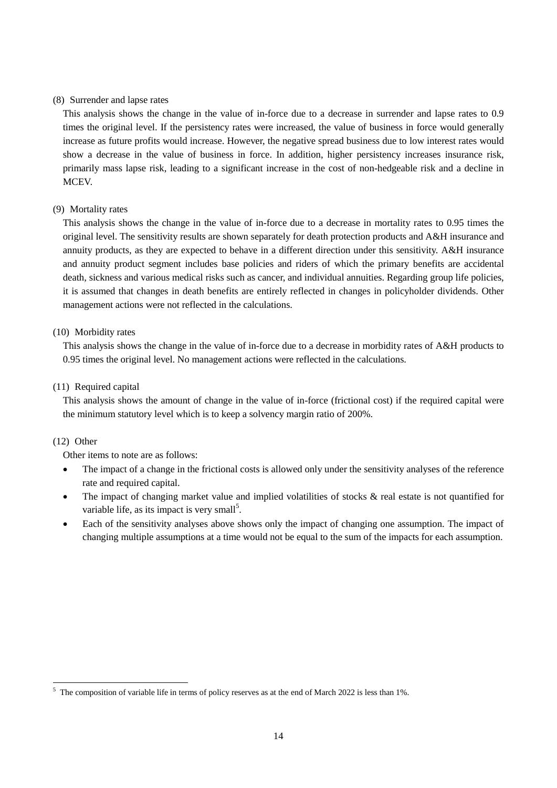### (8) Surrender and lapse rates

This analysis shows the change in the value of in-force due to a decrease in surrender and lapse rates to 0.9 times the original level. If the persistency rates were increased, the value of business in force would generally increase as future profits would increase. However, the negative spread business due to low interest rates would show a decrease in the value of business in force. In addition, higher persistency increases insurance risk, primarily mass lapse risk, leading to a significant increase in the cost of non-hedgeable risk and a decline in MCEV.

### (9) Mortality rates

This analysis shows the change in the value of in-force due to a decrease in mortality rates to 0.95 times the original level. The sensitivity results are shown separately for death protection products and A&H insurance and annuity products, as they are expected to behave in a different direction under this sensitivity. A&H insurance and annuity product segment includes base policies and riders of which the primary benefits are accidental death, sickness and various medical risks such as cancer, and individual annuities. Regarding group life policies, it is assumed that changes in death benefits are entirely reflected in changes in policyholder dividends. Other management actions were not reflected in the calculations.

### (10) Morbidity rates

This analysis shows the change in the value of in-force due to a decrease in morbidity rates of A&H products to 0.95 times the original level. No management actions were reflected in the calculations.

### (11) Required capital

This analysis shows the amount of change in the value of in-force (frictional cost) if the required capital were the minimum statutory level which is to keep a solvency margin ratio of 200%.

### (12) Other

-

Other items to note are as follows:

- The impact of a change in the frictional costs is allowed only under the sensitivity analyses of the reference rate and required capital.
- The impact of changing market value and implied volatilities of stocks & real estate is not quantified for variable life, as its impact is very small<sup>5</sup>.
- Each of the sensitivity analyses above shows only the impact of changing one assumption. The impact of changing multiple assumptions at a time would not be equal to the sum of the impacts for each assumption.

<sup>&</sup>lt;sup>5</sup> The composition of variable life in terms of policy reserves as at the end of March 2022 is less than 1%.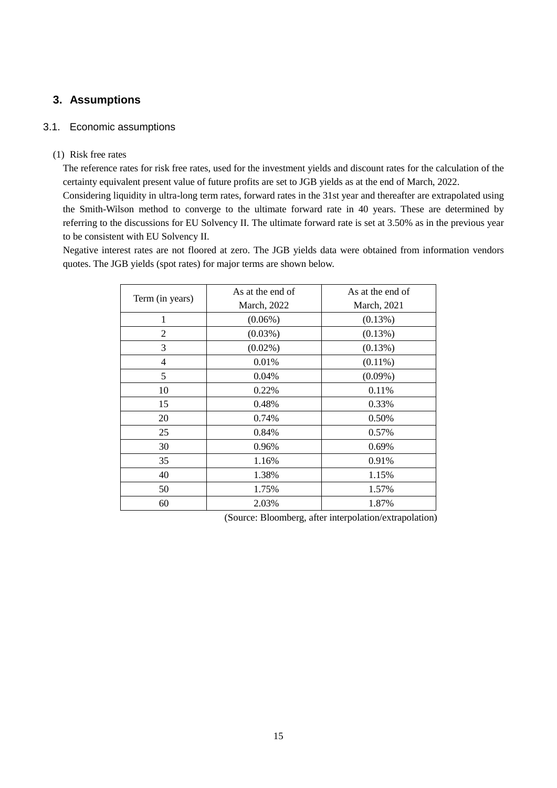# <span id="page-14-0"></span>**3. Assumptions**

### <span id="page-14-1"></span>3.1. Economic assumptions

### (1) Risk free rates

The reference rates for risk free rates, used for the investment yields and discount rates for the calculation of the certainty equivalent present value of future profits are set to JGB yields as at the end of March, 2022.

Considering liquidity in ultra-long term rates, forward rates in the 31st year and thereafter are extrapolated using the Smith-Wilson method to converge to the ultimate forward rate in 40 years. These are determined by referring to the discussions for EU Solvency II. The ultimate forward rate is set at 3.50% as in the previous year to be consistent with EU Solvency II.

Negative interest rates are not floored at zero. The JGB yields data were obtained from information vendors quotes. The JGB yields (spot rates) for major terms are shown below.

|                 | As at the end of | As at the end of    |  |  |
|-----------------|------------------|---------------------|--|--|
| Term (in years) | March, 2022      | <b>March</b> , 2021 |  |  |
| 1               | $(0.06\%)$       | (0.13%)             |  |  |
| $\mathfrak{2}$  | $(0.03\%)$       | (0.13%)             |  |  |
| 3               | $(0.02\%)$       | (0.13%)             |  |  |
| 4               | 0.01%            | $(0.11\%)$          |  |  |
| 5               | 0.04%            | $(0.09\%)$          |  |  |
| 10              | 0.22%            | 0.11%               |  |  |
| 15              | 0.48%            | 0.33%               |  |  |
| 20              | 0.74%            | 0.50%               |  |  |
| 25              | 0.84%            | 0.57%               |  |  |
| 30              | 0.96%            | 0.69%               |  |  |
| 35              | 1.16%            | 0.91%               |  |  |
| 40              | 1.38%            | 1.15%               |  |  |
| 50              | 1.75%            | 1.57%               |  |  |
| 60              | 2.03%            | 1.87%               |  |  |

(Source: Bloomberg, after interpolation/extrapolation)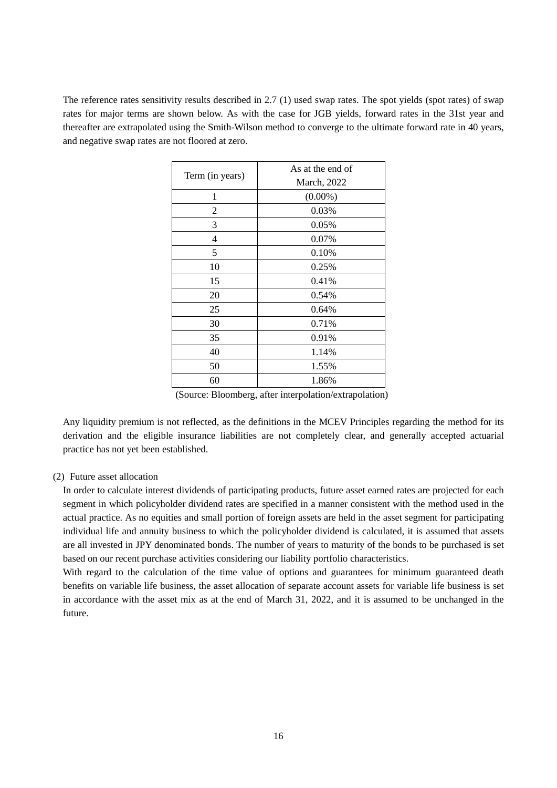The reference rates sensitivity results described in [2.7](#page-11-0) (1) used swap rates. The spot yields (spot rates) of swap rates for major terms are shown below. As with the case for JGB yields, forward rates in the 31st year and thereafter are extrapolated using the Smith-Wilson method to converge to the ultimate forward rate in 40 years, and negative swap rates are not floored at zero.

| Term (in years) | As at the end of<br>March, 2022 |
|-----------------|---------------------------------|
| 1               | $(0.00\%)$                      |
| 2               | 0.03%                           |
| 3               | 0.05%                           |
| 4               | 0.07%                           |
| 5               | 0.10%                           |
| 10              | 0.25%                           |
| 15              | 0.41%                           |
| 20              | 0.54%                           |
| 25              | 0.64%                           |
| 30              | 0.71%                           |
| 35              | 0.91%                           |
| 40              | 1.14%                           |
| 50              | 1.55%                           |
| 60              | 1.86%                           |

(Source: Bloomberg, after interpolation/extrapolation)

Any liquidity premium is not reflected, as the definitions in the MCEV Principles regarding the method for its derivation and the eligible insurance liabilities are not completely clear, and generally accepted actuarial practice has not yet been established.

### (2) Future asset allocation

In order to calculate interest dividends of participating products, future asset earned rates are projected for each segment in which policyholder dividend rates are specified in a manner consistent with the method used in the actual practice. As no equities and small portion of foreign assets are held in the asset segment for participating individual life and annuity business to which the policyholder dividend is calculated, it is assumed that assets are all invested in JPY denominated bonds. The number of years to maturity of the bonds to be purchased is set based on our recent purchase activities considering our liability portfolio characteristics.

With regard to the calculation of the time value of options and guarantees for minimum guaranteed death benefits on variable life business, the asset allocation of separate account assets for variable life business is set in accordance with the asset mix as at the end of March 31, 2022, and it is assumed to be unchanged in the future.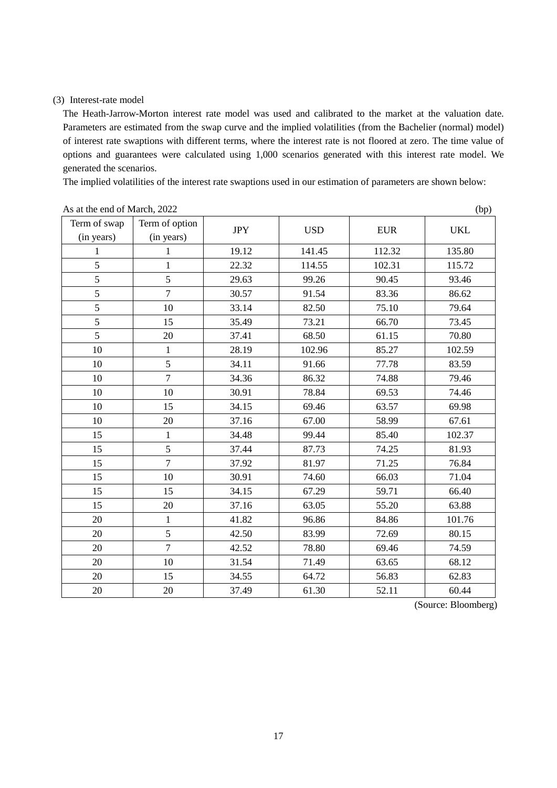### (3) Interest-rate model

The Heath-Jarrow-Morton interest rate model was used and calibrated to the market at the valuation date. Parameters are estimated from the swap curve and the implied volatilities (from the Bachelier (normal) model) of interest rate swaptions with different terms, where the interest rate is not floored at zero. The time value of options and guarantees were calculated using 1,000 scenarios generated with this interest rate model. We generated the scenarios.

The implied volatilities of the interest rate swaptions used in our estimation of parameters are shown below:

|              |                |            |            |            | $\mathbf{v}$ |
|--------------|----------------|------------|------------|------------|--------------|
| Term of swap | Term of option | <b>JPY</b> | <b>USD</b> | <b>EUR</b> | <b>UKL</b>   |
| (in years)   | (in years)     |            |            |            |              |
| 1            | 1              | 19.12      | 141.45     | 112.32     | 135.80       |
| 5            | $\mathbf{1}$   | 22.32      | 114.55     | 102.31     | 115.72       |
| 5            | 5              | 29.63      | 99.26      | 90.45      | 93.46        |
| 5            | $\overline{7}$ | 30.57      | 91.54      | 83.36      | 86.62        |
| 5            | 10             | 33.14      | 82.50      | 75.10      | 79.64        |
| 5            | 15             | 35.49      | 73.21      | 66.70      | 73.45        |
| 5            | 20             | 37.41      | 68.50      | 61.15      | 70.80        |
| 10           | $\mathbf{1}$   | 28.19      | 102.96     | 85.27      | 102.59       |
| 10           | 5              | 34.11      | 91.66      | 77.78      | 83.59        |
| 10           | $\overline{7}$ | 34.36      | 86.32      | 74.88      | 79.46        |
| 10           | 10             | 30.91      | 78.84      | 69.53      | 74.46        |
| 10           | 15             | 34.15      | 69.46      | 63.57      | 69.98        |
| 10           | 20             | 37.16      | 67.00      | 58.99      | 67.61        |
| 15           | $\mathbf{1}$   | 34.48      | 99.44      | 85.40      | 102.37       |
| 15           | 5              | 37.44      | 87.73      | 74.25      | 81.93        |
| 15           | $\overline{7}$ | 37.92      | 81.97      | 71.25      | 76.84        |
| 15           | 10             | 30.91      | 74.60      | 66.03      | 71.04        |
| 15           | 15             | 34.15      | 67.29      | 59.71      | 66.40        |
| 15           | 20             | 37.16      | 63.05      | 55.20      | 63.88        |
| 20           | $\mathbf{1}$   | 41.82      | 96.86      | 84.86      | 101.76       |
| 20           | 5              | 42.50      | 83.99      | 72.69      | 80.15        |
| 20           | $\overline{7}$ | 42.52      | 78.80      | 69.46      | 74.59        |
| 20           | $10\,$         | 31.54      | 71.49      | 63.65      | 68.12        |
| 20           | 15             | 34.55      | 64.72      | 56.83      | 62.83        |
| 20           | 20             | 37.49      | 61.30      | 52.11      | 60.44        |

#### As at the end of March, (bp)

(Source: Bloomberg)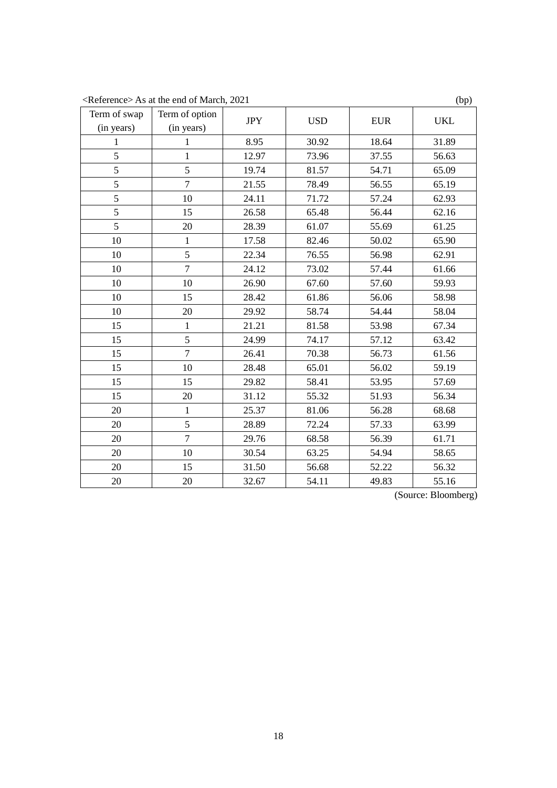<Reference> As at the end of March, 2021 (bp)

| Term of swap | Term of option | <b>JPY</b> | <b>USD</b> | <b>EUR</b> | <b>UKL</b> |
|--------------|----------------|------------|------------|------------|------------|
| (in years)   | (in years)     |            |            |            |            |
| 1            | 1              | 8.95       | 30.92      | 18.64      | 31.89      |
| 5            | $\mathbf{1}$   | 12.97      | 73.96      | 37.55      | 56.63      |
| 5            | 5              | 19.74      | 81.57      | 54.71      | 65.09      |
| 5            | $\overline{7}$ | 21.55      | 78.49      | 56.55      | 65.19      |
| 5            | 10             | 24.11      | 71.72      | 57.24      | 62.93      |
| 5            | 15             | 26.58      | 65.48      | 56.44      | 62.16      |
| 5            | 20             | 28.39      | 61.07      | 55.69      | 61.25      |
| 10           | 1              | 17.58      | 82.46      | 50.02      | 65.90      |
| 10           | 5              | 22.34      | 76.55      | 56.98      | 62.91      |
| 10           | $\overline{7}$ | 24.12      | 73.02      | 57.44      | 61.66      |
| 10           | 10             | 26.90      | 67.60      | 57.60      | 59.93      |
| 10           | 15             | 28.42      | 61.86      | 56.06      | 58.98      |
| 10           | 20             | 29.92      | 58.74      | 54.44      | 58.04      |
| 15           | $\mathbf{1}$   | 21.21      | 81.58      | 53.98      | 67.34      |
| 15           | 5              | 24.99      | 74.17      | 57.12      | 63.42      |
| 15           | $\overline{7}$ | 26.41      | 70.38      | 56.73      | 61.56      |
| 15           | 10             | 28.48      | 65.01      | 56.02      | 59.19      |
| 15           | 15             | 29.82      | 58.41      | 53.95      | 57.69      |
| 15           | 20             | 31.12      | 55.32      | 51.93      | 56.34      |
| 20           | $\mathbf{1}$   | 25.37      | 81.06      | 56.28      | 68.68      |
| 20           | 5              | 28.89      | 72.24      | 57.33      | 63.99      |
| 20           | $\overline{7}$ | 29.76      | 68.58      | 56.39      | 61.71      |
| 20           | 10             | 30.54      | 63.25      | 54.94      | 58.65      |
| 20           | 15             | 31.50      | 56.68      | 52.22      | 56.32      |
| 20           | 20             | 32.67      | 54.11      | 49.83      | 55.16      |

(Source: Bloomberg)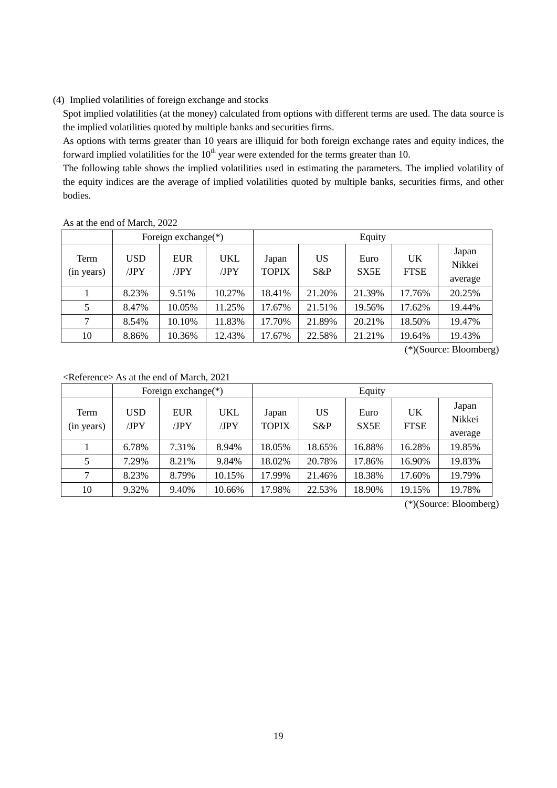### (4) Implied volatilities of foreign exchange and stocks

Spot implied volatilities (at the money) calculated from options with different terms are used. The data source is the implied volatilities quoted by multiple banks and securities firms.

As options with terms greater than 10 years are illiquid for both foreign exchange rates and equity indices, the forward implied volatilities for the  $10<sup>th</sup>$  year were extended for the terms greater than 10.

The following table shows the implied volatilities used in estimating the parameters. The implied volatility of the equity indices are the average of implied volatilities quoted by multiple banks, securities firms, and other bodies.

#### As at the end of March, 2022

|                    | Foreign exchange(*) |                    |             | Equity                |              |              |                   |                            |
|--------------------|---------------------|--------------------|-------------|-----------------------|--------------|--------------|-------------------|----------------------------|
| Term<br>(in years) | <b>USD</b><br>/JPY  | <b>EUR</b><br>/JPY | UKL<br>/JPY | Japan<br><b>TOPIX</b> | US<br>$S\&P$ | Euro<br>SX5E | UK<br><b>FTSE</b> | Japan<br>Nikkei<br>average |
|                    | 8.23%               | 9.51%              | 10.27%      | 18.41%                | 21.20%       | 21.39%       | 17.76%            | 20.25%                     |
| 5                  | 8.47%               | 10.05%             | 11.25%      | 17.67%                | 21.51%       | 19.56%       | 17.62%            | 19.44%                     |
| 7                  | 8.54%               | 10.10%             | 11.83%      | 17.70%                | 21.89%       | 20.21%       | 18.50%            | 19.47%                     |
| 10                 | 8.86%               | 10.36%             | 12.43%      | 17.67%                | 22.58%       | 21.21%       | 19.64%            | 19.43%                     |

(\*)(Source: Bloomberg)

<Reference> As at the end of March, 2021

|                    |                    | Foreign exchange $(*)$ |             |                       |              | Equity       |                   |                            |
|--------------------|--------------------|------------------------|-------------|-----------------------|--------------|--------------|-------------------|----------------------------|
| Term<br>(in years) | <b>USD</b><br>/JPY | <b>EUR</b><br>/JPY     | UKL<br>/JPY | Japan<br><b>TOPIX</b> | US<br>$S\&P$ | Euro<br>SX5E | UK<br><b>FTSE</b> | Japan<br>Nikkei<br>average |
|                    | 6.78%              | 7.31%                  | 8.94%       | 18.05%                | 18.65%       | 16.88%       | 16.28%            | 19.85%                     |
| 5                  | 7.29%              | 8.21%                  | 9.84%       | 18.02%                | 20.78%       | 17.86%       | 16.90%            | 19.83%                     |
| 7                  | 8.23%              | 8.79%                  | 10.15%      | 17.99%                | 21.46%       | 18.38%       | 17.60%            | 19.79%                     |
| 10                 | 9.32%              | 9.40%                  | 10.66%      | 17.98%                | 22.53%       | 18.90%       | 19.15%            | 19.78%                     |

(\*)(Source: Bloomberg)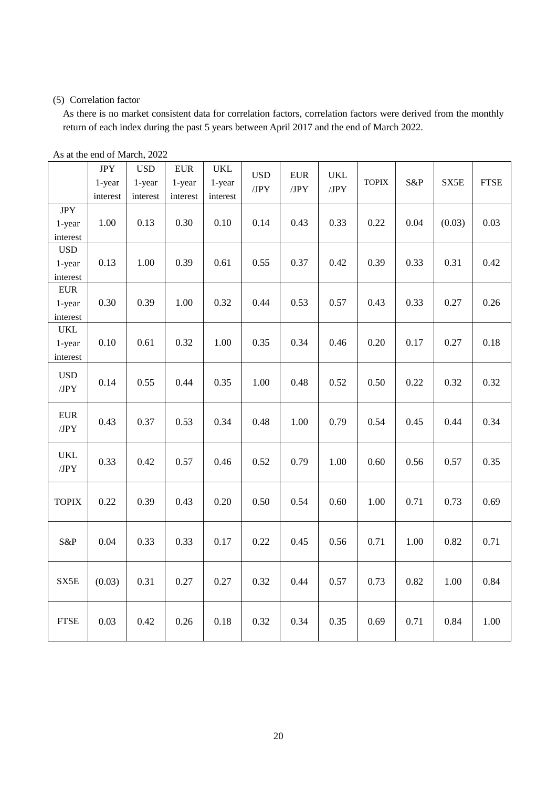### (5) Correlation factor

As there is no market consistent data for correlation factors, correlation factors were derived from the monthly return of each index during the past 5 years between April 2017 and the end of March 2022.

|                                  | <b>JPY</b><br>1-year<br>interest | <b>USD</b><br>1-year<br>interest | ${\rm EUR}$<br>1-year<br>interest | <b>UKL</b><br>1-year<br>interest | <b>USD</b><br>/JPY | <b>EUR</b><br>/JPY | <b>UKL</b><br>JPY | <b>TOPIX</b> | S&P  | SX5E   | <b>FTSE</b> |
|----------------------------------|----------------------------------|----------------------------------|-----------------------------------|----------------------------------|--------------------|--------------------|-------------------|--------------|------|--------|-------------|
| <b>JPY</b><br>1-year<br>interest | 1.00                             | 0.13                             | 0.30                              | 0.10                             | 0.14               | 0.43               | 0.33              | 0.22         | 0.04 | (0.03) | 0.03        |
| <b>USD</b><br>1-year<br>interest | 0.13                             | 1.00                             | 0.39                              | 0.61                             | 0.55               | 0.37               | 0.42              | 0.39         | 0.33 | 0.31   | 0.42        |
| <b>EUR</b><br>1-year<br>interest | 0.30                             | 0.39                             | 1.00                              | 0.32                             | 0.44               | 0.53               | 0.57              | 0.43         | 0.33 | 0.27   | 0.26        |
| <b>UKL</b><br>1-year<br>interest | 0.10                             | 0.61                             | 0.32                              | 1.00                             | 0.35               | 0.34               | 0.46              | 0.20         | 0.17 | 0.27   | 0.18        |
| <b>USD</b><br>/JPY               | 0.14                             | 0.55                             | 0.44                              | 0.35                             | 1.00               | 0.48               | 0.52              | 0.50         | 0.22 | 0.32   | 0.32        |
| <b>EUR</b><br>JPY                | 0.43                             | 0.37                             | 0.53                              | 0.34                             | 0.48               | 1.00               | 0.79              | 0.54         | 0.45 | 0.44   | 0.34        |
| <b>UKL</b><br>JPY                | 0.33                             | 0.42                             | 0.57                              | 0.46                             | 0.52               | 0.79               | 1.00              | 0.60         | 0.56 | 0.57   | 0.35        |
| <b>TOPIX</b>                     | 0.22                             | 0.39                             | 0.43                              | 0.20                             | 0.50               | 0.54               | 0.60              | 1.00         | 0.71 | 0.73   | 0.69        |
| S&P                              | 0.04                             | 0.33                             | 0.33                              | 0.17                             | 0.22               | 0.45               | 0.56              | 0.71         | 1.00 | 0.82   | 0.71        |
| SX5E                             | (0.03)                           | 0.31                             | 0.27                              | 0.27                             | 0.32               | 0.44               | 0.57              | 0.73         | 0.82 | 1.00   | 0.84        |
| <b>FTSE</b>                      | 0.03                             | 0.42                             | 0.26                              | 0.18                             | 0.32               | 0.34               | 0.35              | 0.69         | 0.71 | 0.84   | 1.00        |

As at the end of March, 2022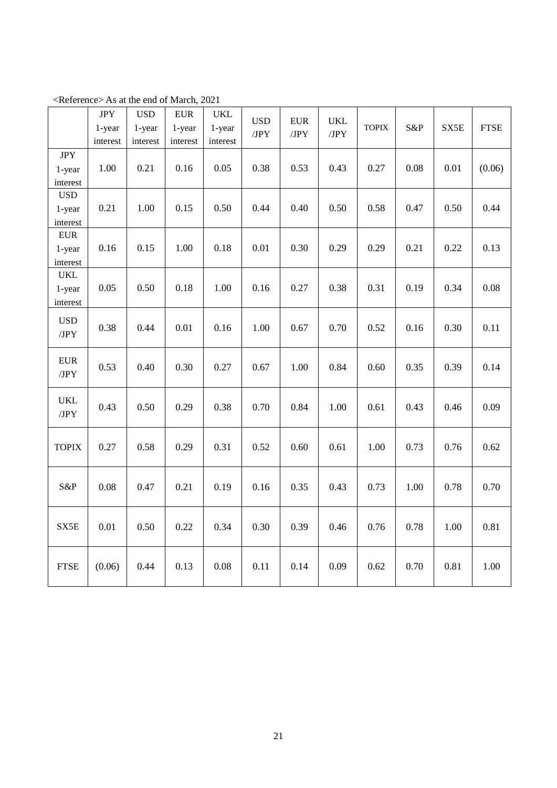|                                   | $\rm JPY$<br>1-year<br>interest | <b>USD</b><br>1-year<br>interest | ${\rm EUR}$<br>1-year<br>interest | <b>UKL</b><br>1-year<br>interest | <b>USD</b><br>JPY | ${\rm EUR}$<br>JPY | <b>UKL</b><br>/JPY | <b>TOPIX</b> | S&P  | SX5E | <b>FTSE</b> |
|-----------------------------------|---------------------------------|----------------------------------|-----------------------------------|----------------------------------|-------------------|--------------------|--------------------|--------------|------|------|-------------|
| <b>JPY</b><br>1-year<br>interest  | 1.00                            | 0.21                             | 0.16                              | 0.05                             | 0.38              | 0.53               | 0.43               | 0.27         | 0.08 | 0.01 | (0.06)      |
| <b>USD</b><br>1-year<br>interest  | 0.21                            | 1.00                             | 0.15                              | 0.50                             | 0.44              | 0.40               | 0.50               | 0.58         | 0.47 | 0.50 | 0.44        |
| ${\rm EUR}$<br>1-year<br>interest | 0.16                            | 0.15                             | 1.00                              | 0.18                             | 0.01              | 0.30               | 0.29               | 0.29         | 0.21 | 0.22 | 0.13        |
| <b>UKL</b><br>1-year<br>interest  | 0.05                            | 0.50                             | 0.18                              | 1.00                             | 0.16              | 0.27               | 0.38               | 0.31         | 0.19 | 0.34 | 0.08        |
| <b>USD</b><br>/JPY                | 0.38                            | 0.44                             | 0.01                              | 0.16                             | 1.00              | 0.67               | 0.70               | 0.52         | 0.16 | 0.30 | 0.11        |
| ${\rm EUR}$<br>/JPY               | 0.53                            | 0.40                             | 0.30                              | 0.27                             | 0.67              | 1.00               | 0.84               | 0.60         | 0.35 | 0.39 | 0.14        |
| <b>UKL</b><br>/JPY                | 0.43                            | 0.50                             | 0.29                              | 0.38                             | 0.70              | 0.84               | 1.00               | 0.61         | 0.43 | 0.46 | 0.09        |
| <b>TOPIX</b>                      | 0.27                            | 0.58                             | 0.29                              | 0.31                             | 0.52              | 0.60               | 0.61               | 1.00         | 0.73 | 0.76 | 0.62        |
| S&P                               | 0.08                            | 0.47                             | 0.21                              | 0.19                             | 0.16              | 0.35               | 0.43               | 0.73         | 1.00 | 0.78 | 0.70        |
| SX5E                              | 0.01                            | 0.50                             | 0.22                              | 0.34                             | 0.30              | 0.39               | 0.46               | 0.76         | 0.78 | 1.00 | 0.81        |
| <b>FTSE</b>                       | (0.06)                          | 0.44                             | 0.13                              | 0.08                             | 0.11              | 0.14               | 0.09               | 0.62         | 0.70 | 0.81 | 1.00        |

<Reference> As at the end of March, 2021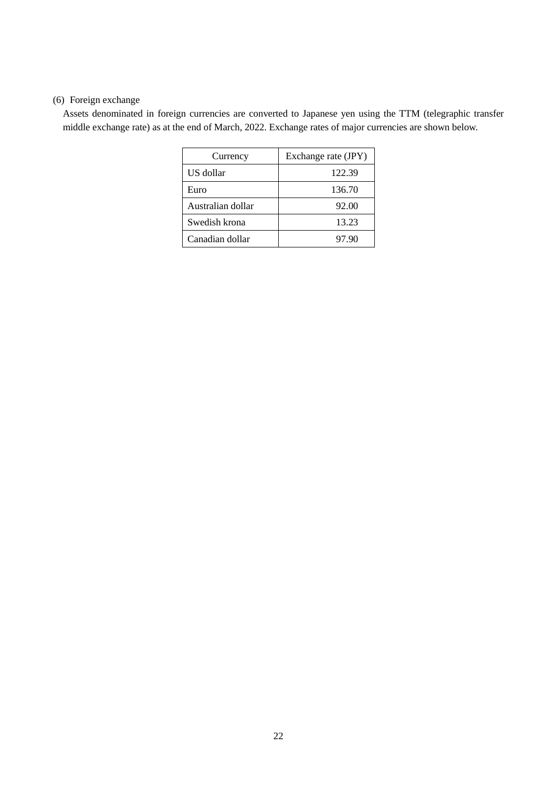# (6) Foreign exchange

Assets denominated in foreign currencies are converted to Japanese yen using the TTM (telegraphic transfer middle exchange rate) as at the end of March, 2022. Exchange rates of major currencies are shown below.

| Currency          | Exchange rate (JPY) |
|-------------------|---------------------|
| US dollar         | 122.39              |
| Euro              | 136.70              |
| Australian dollar | 92.00               |
| Swedish krona     | 13.23               |
| Canadian dollar   | 97.90               |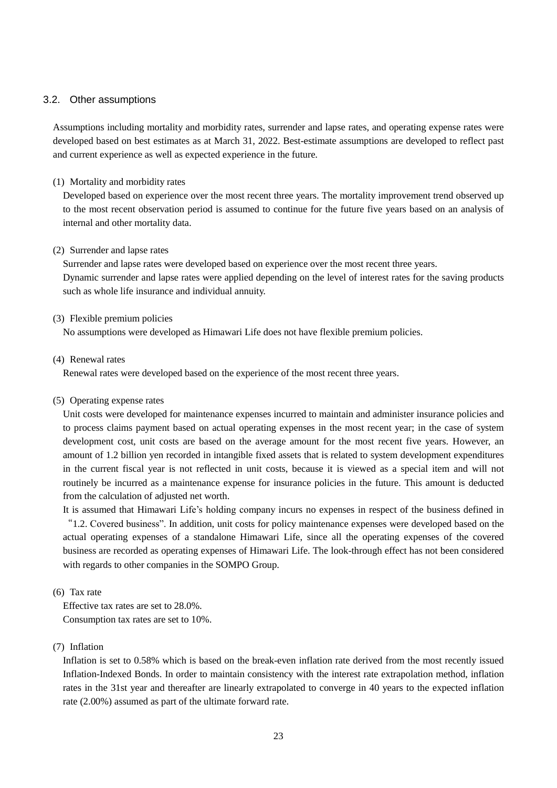### <span id="page-22-0"></span>3.2. Other assumptions

Assumptions including mortality and morbidity rates, surrender and lapse rates, and operating expense rates were developed based on best estimates as at March 31, 2022. Best-estimate assumptions are developed to reflect past and current experience as well as expected experience in the future.

### (1) Mortality and morbidity rates

Developed based on experience over the most recent three years. The mortality improvement trend observed up to the most recent observation period is assumed to continue for the future five years based on an analysis of internal and other mortality data.

### (2) Surrender and lapse rates

Surrender and lapse rates were developed based on experience over the most recent three years. Dynamic surrender and lapse rates were applied depending on the level of interest rates for the saving products such as whole life insurance and individual annuity.

### (3) Flexible premium policies

No assumptions were developed as Himawari Life does not have flexible premium policies.

### (4) Renewal rates

Renewal rates were developed based on the experience of the most recent three years.

### (5) Operating expense rates

Unit costs were developed for maintenance expenses incurred to maintain and administer insurance policies and to process claims payment based on actual operating expenses in the most recent year; in the case of system development cost, unit costs are based on the average amount for the most recent five years. However, an amount of 1.2 billion yen recorded in intangible fixed assets that is related to system development expenditures in the current fiscal year is not reflected in unit costs, because it is viewed as a special item and will not routinely be incurred as a maintenance expense for insurance policies in the future. This amount is deducted from the calculation of adjusted net worth.

It is assumed that Himawari Life's holding company incurs no expenses in respect of the business defined in "1.2. Covered business". In addition, unit costs for policy maintenance expenses were developed based on the actual operating expenses of a standalone Himawari Life, since all the operating expenses of the covered business are recorded as operating expenses of Himawari Life. The look-through effect has not been considered with regards to other companies in the SOMPO Group.

### (6) Tax rate

Effective tax rates are set to 28.0%. Consumption tax rates are set to 10%.

### (7) Inflation

Inflation is set to 0.58% which is based on the break-even inflation rate derived from the most recently issued Inflation-Indexed Bonds. In order to maintain consistency with the interest rate extrapolation method, inflation rates in the 31st year and thereafter are linearly extrapolated to converge in 40 years to the expected inflation rate (2.00%) assumed as part of the ultimate forward rate.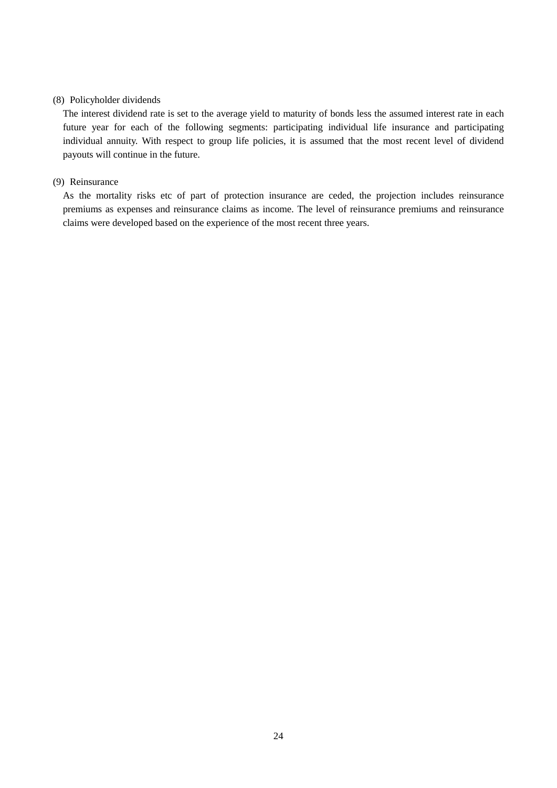### (8) Policyholder dividends

The interest dividend rate is set to the average yield to maturity of bonds less the assumed interest rate in each future year for each of the following segments: participating individual life insurance and participating individual annuity. With respect to group life policies, it is assumed that the most recent level of dividend payouts will continue in the future.

### (9) Reinsurance

As the mortality risks etc of part of protection insurance are ceded, the projection includes reinsurance premiums as expenses and reinsurance claims as income. The level of reinsurance premiums and reinsurance claims were developed based on the experience of the most recent three years.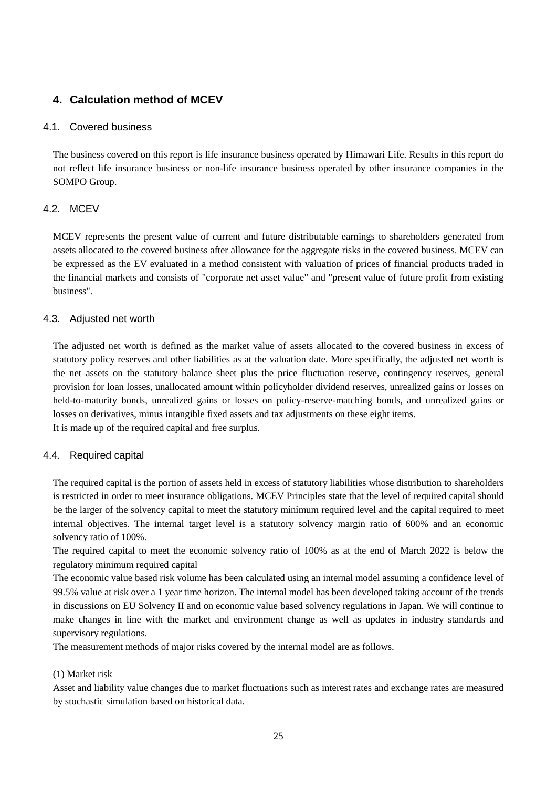# <span id="page-24-0"></span>**4. Calculation method of MCEV**

### <span id="page-24-1"></span>4.1. Covered business

The business covered on this report is life insurance business operated by Himawari Life. Results in this report do not reflect life insurance business or non-life insurance business operated by other insurance companies in the SOMPO Group.

### <span id="page-24-2"></span>4.2. MCEV

MCEV represents the present value of current and future distributable earnings to shareholders generated from assets allocated to the covered business after allowance for the aggregate risks in the covered business. MCEV can be expressed as the EV evaluated in a method consistent with valuation of prices of financial products traded in the financial markets and consists of "corporate net asset value" and "present value of future profit from existing business".

### <span id="page-24-3"></span>4.3. Adjusted net worth

The adjusted net worth is defined as the market value of assets allocated to the covered business in excess of statutory policy reserves and other liabilities as at the valuation date. More specifically, the adjusted net worth is the net assets on the statutory balance sheet plus the price fluctuation reserve, contingency reserves, general provision for loan losses, unallocated amount within policyholder dividend reserves, unrealized gains or losses on held-to-maturity bonds, unrealized gains or losses on policy-reserve-matching bonds, and unrealized gains or losses on derivatives, minus intangible fixed assets and tax adjustments on these eight items. It is made up of the required capital and free surplus.

### <span id="page-24-4"></span>4.4. Required capital

The required capital is the portion of assets held in excess of statutory liabilities whose distribution to shareholders is restricted in order to meet insurance obligations. MCEV Principles state that the level of required capital should be the larger of the solvency capital to meet the statutory minimum required level and the capital required to meet internal objectives. The internal target level is a statutory solvency margin ratio of 600% and an economic solvency ratio of 100%.

The required capital to meet the economic solvency ratio of 100% as at the end of March 2022 is below the regulatory minimum required capital

The economic value based risk volume has been calculated using an internal model assuming a confidence level of 99.5% value at risk over a 1 year time horizon. The internal model has been developed taking account of the trends in discussions on EU Solvency II and on economic value based solvency regulations in Japan. We will continue to make changes in line with the market and environment change as well as updates in industry standards and supervisory regulations.

The measurement methods of major risks covered by the internal model are as follows.

### (1) Market risk

Asset and liability value changes due to market fluctuations such as interest rates and exchange rates are measured by stochastic simulation based on historical data.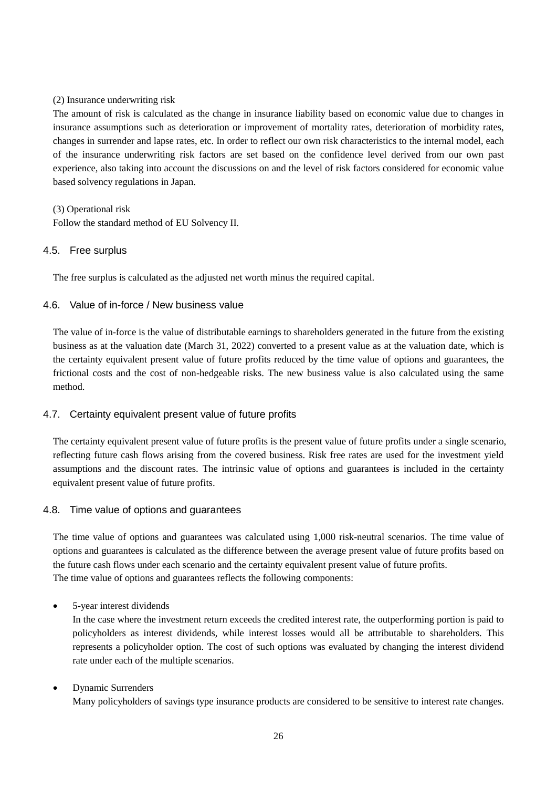### (2) Insurance underwriting risk

The amount of risk is calculated as the change in insurance liability based on economic value due to changes in insurance assumptions such as deterioration or improvement of mortality rates, deterioration of morbidity rates, changes in surrender and lapse rates, etc. In order to reflect our own risk characteristics to the internal model, each of the insurance underwriting risk factors are set based on the confidence level derived from our own past experience, also taking into account the discussions on and the level of risk factors considered for economic value based solvency regulations in Japan.

(3) Operational risk Follow the standard method of EU Solvency II.

### <span id="page-25-0"></span>4.5. Free surplus

The free surplus is calculated as the adjusted net worth minus the required capital.

### <span id="page-25-1"></span>4.6. Value of in-force / New business value

The value of in-force is the value of distributable earnings to shareholders generated in the future from the existing business as at the valuation date (March 31, 2022) converted to a present value as at the valuation date, which is the certainty equivalent present value of future profits reduced by the time value of options and guarantees, the frictional costs and the cost of non-hedgeable risks. The new business value is also calculated using the same method.

### <span id="page-25-2"></span>4.7. Certainty equivalent present value of future profits

The certainty equivalent present value of future profits is the present value of future profits under a single scenario, reflecting future cash flows arising from the covered business. Risk free rates are used for the investment yield assumptions and the discount rates. The intrinsic value of options and guarantees is included in the certainty equivalent present value of future profits.

### <span id="page-25-3"></span>4.8. Time value of options and guarantees

The time value of options and guarantees was calculated using 1,000 risk-neutral scenarios. The time value of options and guarantees is calculated as the difference between the average present value of future profits based on the future cash flows under each scenario and the certainty equivalent present value of future profits. The time value of options and guarantees reflects the following components:

### • 5-year interest dividends

In the case where the investment return exceeds the credited interest rate, the outperforming portion is paid to policyholders as interest dividends, while interest losses would all be attributable to shareholders. This represents a policyholder option. The cost of such options was evaluated by changing the interest dividend rate under each of the multiple scenarios.

### • Dynamic Surrenders Many policyholders of savings type insurance products are considered to be sensitive to interest rate changes.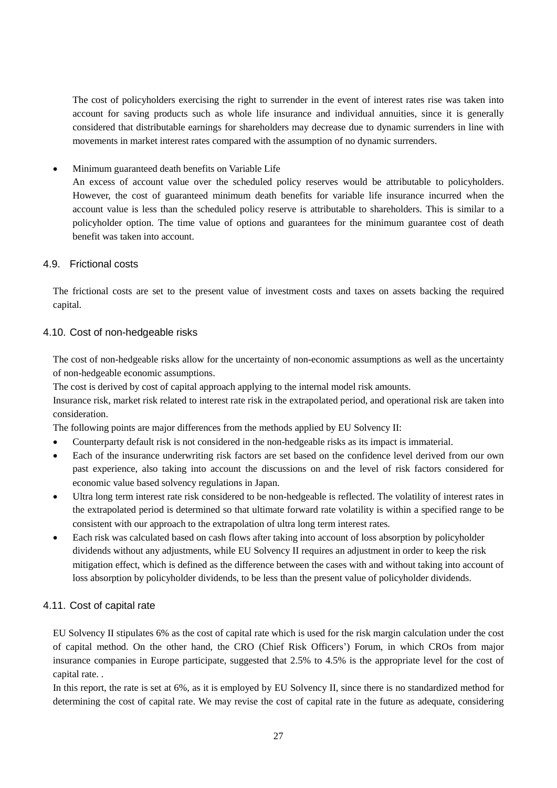The cost of policyholders exercising the right to surrender in the event of interest rates rise was taken into account for saving products such as whole life insurance and individual annuities, since it is generally considered that distributable earnings for shareholders may decrease due to dynamic surrenders in line with movements in market interest rates compared with the assumption of no dynamic surrenders.

Minimum guaranteed death benefits on Variable Life

An excess of account value over the scheduled policy reserves would be attributable to policyholders. However, the cost of guaranteed minimum death benefits for variable life insurance incurred when the account value is less than the scheduled policy reserve is attributable to shareholders. This is similar to a policyholder option. The time value of options and guarantees for the minimum guarantee cost of death benefit was taken into account.

### <span id="page-26-0"></span>4.9. Frictional costs

The frictional costs are set to the present value of investment costs and taxes on assets backing the required capital.

### <span id="page-26-1"></span>4.10. Cost of non-hedgeable risks

The cost of non-hedgeable risks allow for the uncertainty of non-economic assumptions as well as the uncertainty of non-hedgeable economic assumptions.

The cost is derived by cost of capital approach applying to the internal model risk amounts.

Insurance risk, market risk related to interest rate risk in the extrapolated period, and operational risk are taken into consideration.

The following points are major differences from the methods applied by EU Solvency II:

- Counterparty default risk is not considered in the non-hedgeable risks as its impact is immaterial.
- Each of the insurance underwriting risk factors are set based on the confidence level derived from our own past experience, also taking into account the discussions on and the level of risk factors considered for economic value based solvency regulations in Japan.
- Ultra long term interest rate risk considered to be non-hedgeable is reflected. The volatility of interest rates in the extrapolated period is determined so that ultimate forward rate volatility is within a specified range to be consistent with our approach to the extrapolation of ultra long term interest rates.
- Each risk was calculated based on cash flows after taking into account of loss absorption by policyholder dividends without any adjustments, while EU Solvency II requires an adjustment in order to keep the risk mitigation effect, which is defined as the difference between the cases with and without taking into account of loss absorption by policyholder dividends, to be less than the present value of policyholder dividends.

### <span id="page-26-2"></span>4.11. Cost of capital rate

EU Solvency II stipulates 6% as the cost of capital rate which is used for the risk margin calculation under the cost of capital method. On the other hand, the CRO (Chief Risk Officers') Forum, in which CROs from major insurance companies in Europe participate, suggested that 2.5% to 4.5% is the appropriate level for the cost of capital rate. .

In this report, the rate is set at 6%, as it is employed by EU Solvency II, since there is no standardized method for determining the cost of capital rate. We may revise the cost of capital rate in the future as adequate, considering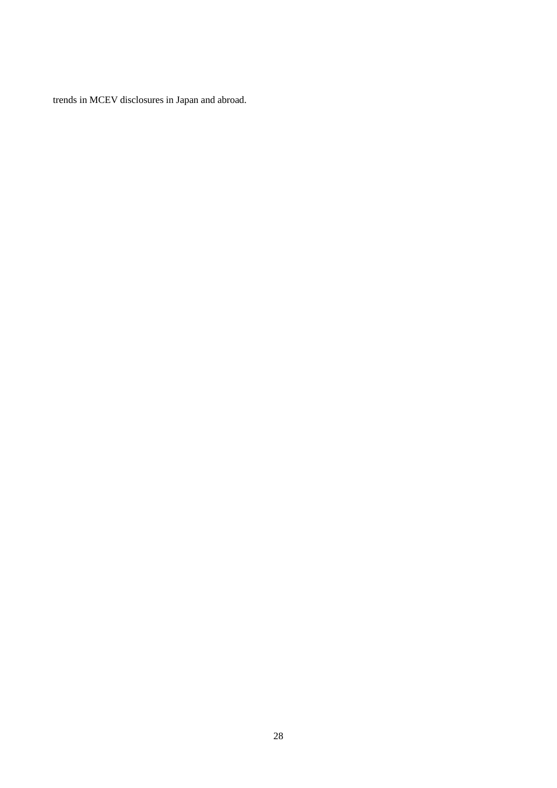trends in MCEV disclosures in Japan and abroad.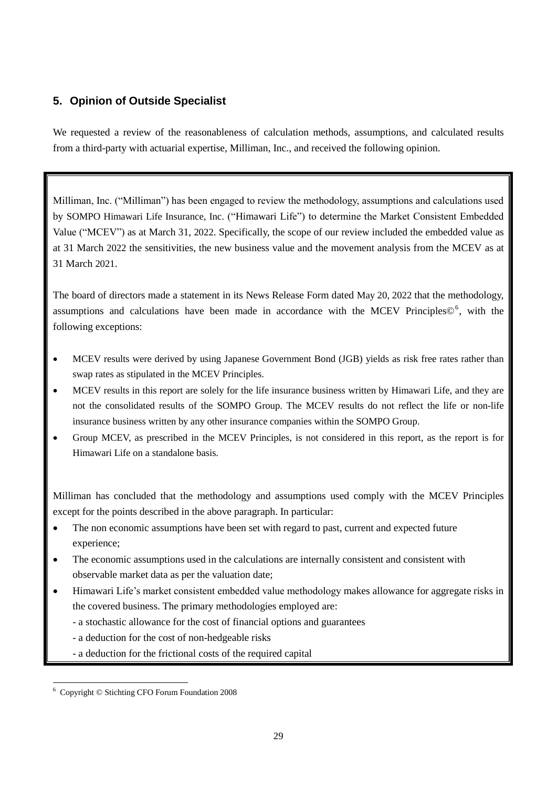# <span id="page-28-0"></span>**5. Opinion of Outside Specialist**

We requested a review of the reasonableness of calculation methods, assumptions, and calculated results from a third-party with actuarial expertise, Milliman, Inc., and received the following opinion.

Milliman, Inc. ("Milliman") has been engaged to review the methodology, assumptions and calculations used by SOMPO Himawari Life Insurance, Inc. ("Himawari Life") to determine the Market Consistent Embedded Value ("MCEV") as at March 31, 2022. Specifically, the scope of our review included the embedded value as at 31 March 2022 the sensitivities, the new business value and the movement analysis from the MCEV as at 31 March 2021.

The board of directors made a statement in its News Release Form dated May 20, 2022 that the methodology, assumptions and calculations have been made in accordance with the MCEV Principles©<sup>6</sup>, with the following exceptions:

- MCEV results were derived by using Japanese Government Bond (JGB) yields as risk free rates rather than swap rates as stipulated in the MCEV Principles.
- MCEV results in this report are solely for the life insurance business written by Himawari Life, and they are not the consolidated results of the SOMPO Group. The MCEV results do not reflect the life or non-life insurance business written by any other insurance companies within the SOMPO Group.
- Group MCEV, as prescribed in the MCEV Principles, is not considered in this report, as the report is for Himawari Life on a standalone basis.

Milliman has concluded that the methodology and assumptions used comply with the MCEV Principles except for the points described in the above paragraph. In particular:

- The non economic assumptions have been set with regard to past, current and expected future experience;
- The economic assumptions used in the calculations are internally consistent and consistent with observable market data as per the valuation date;
- Himawari Life's market consistent embedded value methodology makes allowance for aggregate risks in the covered business. The primary methodologies employed are:
	- a stochastic allowance for the cost of financial options and guarantees
	- a deduction for the cost of non-hedgeable risks
	- a deduction for the frictional costs of the required capital

<sup>-</sup><sup>6</sup> Copyright © Stichting CFO Forum Foundation 2008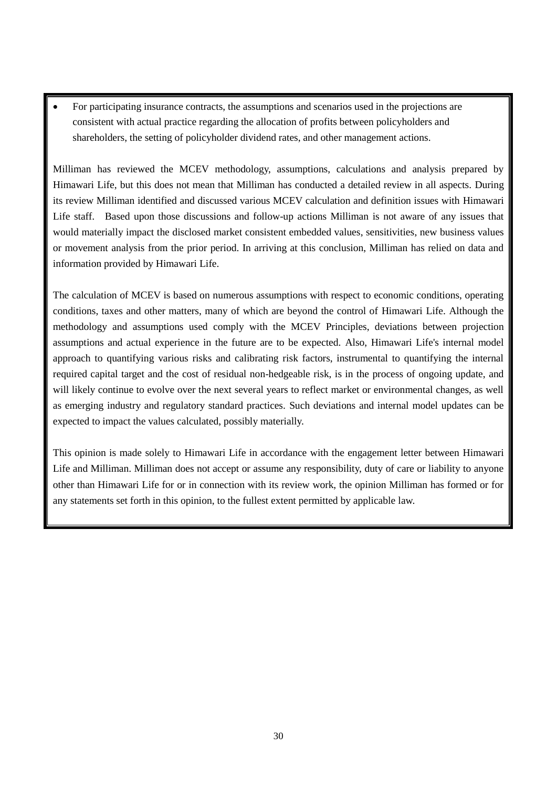For participating insurance contracts, the assumptions and scenarios used in the projections are consistent with actual practice regarding the allocation of profits between policyholders and shareholders, the setting of policyholder dividend rates, and other management actions.

Milliman has reviewed the MCEV methodology, assumptions, calculations and analysis prepared by Himawari Life, but this does not mean that Milliman has conducted a detailed review in all aspects. During its review Milliman identified and discussed various MCEV calculation and definition issues with Himawari Life staff. Based upon those discussions and follow-up actions Milliman is not aware of any issues that would materially impact the disclosed market consistent embedded values, sensitivities, new business values or movement analysis from the prior period. In arriving at this conclusion, Milliman has relied on data and information provided by Himawari Life.

The calculation of MCEV is based on numerous assumptions with respect to economic conditions, operating conditions, taxes and other matters, many of which are beyond the control of Himawari Life. Although the methodology and assumptions used comply with the MCEV Principles, deviations between projection assumptions and actual experience in the future are to be expected. Also, Himawari Life's internal model approach to quantifying various risks and calibrating risk factors, instrumental to quantifying the internal required capital target and the cost of residual non-hedgeable risk, is in the process of ongoing update, and will likely continue to evolve over the next several years to reflect market or environmental changes, as well as emerging industry and regulatory standard practices. Such deviations and internal model updates can be expected to impact the values calculated, possibly materially.

This opinion is made solely to Himawari Life in accordance with the engagement letter between Himawari Life and Milliman. Milliman does not accept or assume any responsibility, duty of care or liability to anyone other than Himawari Life for or in connection with its review work, the opinion Milliman has formed or for any statements set forth in this opinion, to the fullest extent permitted by applicable law.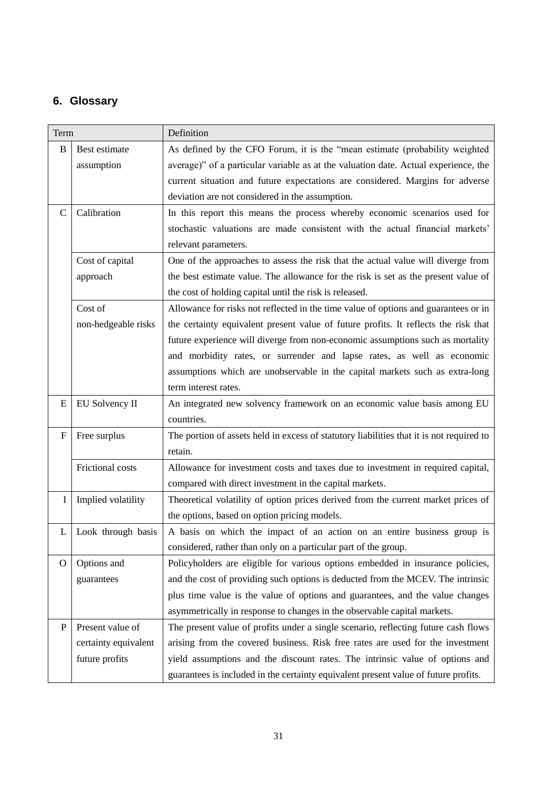# <span id="page-30-0"></span>**6. Glossary**

| Term         |                      | Definition                                                                               |
|--------------|----------------------|------------------------------------------------------------------------------------------|
| B            | Best estimate        | As defined by the CFO Forum, it is the "mean estimate (probability weighted              |
|              | assumption           | average)" of a particular variable as at the valuation date. Actual experience, the      |
|              |                      | current situation and future expectations are considered. Margins for adverse            |
|              |                      | deviation are not considered in the assumption.                                          |
| $\mathsf{C}$ | Calibration          | In this report this means the process whereby economic scenarios used for                |
|              |                      | stochastic valuations are made consistent with the actual financial markets'             |
|              |                      | relevant parameters.                                                                     |
|              | Cost of capital      | One of the approaches to assess the risk that the actual value will diverge from         |
|              | approach             | the best estimate value. The allowance for the risk is set as the present value of       |
|              |                      | the cost of holding capital until the risk is released.                                  |
|              | Cost of              | Allowance for risks not reflected in the time value of options and guarantees or in      |
|              | non-hedgeable risks  | the certainty equivalent present value of future profits. It reflects the risk that      |
|              |                      | future experience will diverge from non-economic assumptions such as mortality           |
|              |                      | and morbidity rates, or surrender and lapse rates, as well as economic                   |
|              |                      | assumptions which are unobservable in the capital markets such as extra-long             |
|              |                      | term interest rates.                                                                     |
| E            | EU Solvency II       | An integrated new solvency framework on an economic value basis among EU                 |
|              |                      | countries.                                                                               |
| F            | Free surplus         | The portion of assets held in excess of statutory liabilities that it is not required to |
|              |                      | retain.                                                                                  |
|              | Frictional costs     | Allowance for investment costs and taxes due to investment in required capital,          |
|              |                      | compared with direct investment in the capital markets.                                  |
| $\mathbf I$  | Implied volatility   | Theoretical volatility of option prices derived from the current market prices of        |
|              |                      | the options, based on option pricing models.                                             |
| L            | Look through basis   | A basis on which the impact of an action on an entire business group is                  |
|              |                      | considered, rather than only on a particular part of the group.                          |
| $\mathbf{O}$ | Options and          | Policyholders are eligible for various options embedded in insurance policies,           |
|              | guarantees           | and the cost of providing such options is deducted from the MCEV. The intrinsic          |
|              |                      | plus time value is the value of options and guarantees, and the value changes            |
|              |                      | asymmetrically in response to changes in the observable capital markets.                 |
| P            | Present value of     | The present value of profits under a single scenario, reflecting future cash flows       |
|              | certainty equivalent | arising from the covered business. Risk free rates are used for the investment           |
|              | future profits       | yield assumptions and the discount rates. The intrinsic value of options and             |
|              |                      | guarantees is included in the certainty equivalent present value of future profits.      |
|              |                      |                                                                                          |